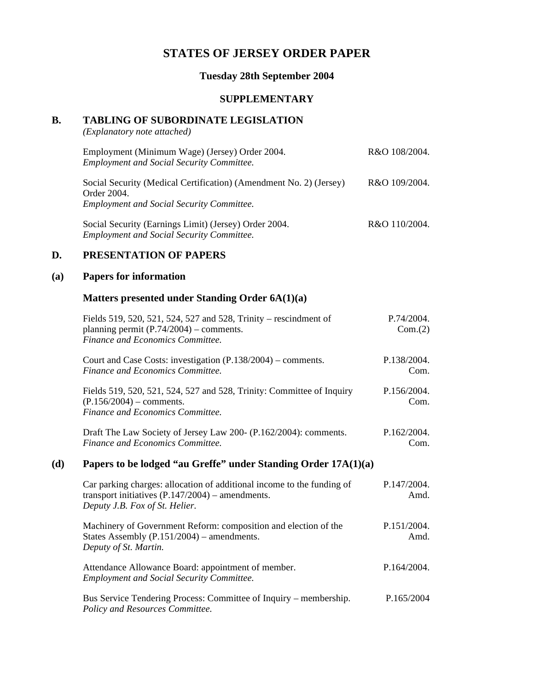# **STATES OF JERSEY ORDER PAPER**

### **Tuesday 28th September 2004**

#### **SUPPLEMENTARY**

# **B. TABLING OF SUBORDINATE LEGISLATION**

*(Explanatory note attached)*

| Employment (Minimum Wage) (Jersey) Order 2004.<br><b>Employment and Social Security Committee.</b>                                    | R&O 108/2004. |
|---------------------------------------------------------------------------------------------------------------------------------------|---------------|
| Social Security (Medical Certification) (Amendment No. 2) (Jersey)<br>Order 2004.<br><b>Employment and Social Security Committee.</b> | R&O 109/2004. |
| Social Security (Earnings Limit) (Jersey) Order 2004.<br><b>Employment and Social Security Committee.</b>                             | R&O 110/2004. |

### **D. PRESENTATION OF PAPERS**

### **(a) Papers for information**

### **Matters presented under Standing Order 6A(1)(a)**

|     | Fields 519, 520, 521, 524, 527 and 528, Trinity – rescindment of<br>planning permit $(P.74/2004)$ – comments.<br>Finance and Economics Committee.              | P.74/2004.<br>Com.(2) |
|-----|----------------------------------------------------------------------------------------------------------------------------------------------------------------|-----------------------|
|     | Court and Case Costs: investigation $(P.138/2004)$ – comments.<br>Finance and Economics Committee.                                                             | P.138/2004.<br>Com.   |
|     | Fields 519, 520, 521, 524, 527 and 528, Trinity: Committee of Inquiry<br>$(P.156/2004)$ – comments.<br>Finance and Economics Committee.                        | P.156/2004.<br>Com.   |
|     | Draft The Law Society of Jersey Law 200- (P.162/2004): comments.<br>Finance and Economics Committee.                                                           | P.162/2004.<br>Com.   |
| (d) | Papers to be lodged "au Greffe" under Standing Order 17A(1)(a)                                                                                                 |                       |
|     | Car parking charges: allocation of additional income to the funding of<br>transport initiatives $(P.147/2004)$ – amendments.<br>Deputy J.B. Fox of St. Helier. | P.147/2004.<br>Amd.   |
|     | Machinery of Government Reform: composition and election of the<br>States Assembly $(P.151/2004)$ – amendments.<br>Deputy of St. Martin.                       | P.151/2004.<br>Amd.   |
|     | Attendance Allowance Board: appointment of member.<br><b>Employment and Social Security Committee.</b>                                                         | P.164/2004.           |
|     | Bus Service Tendering Process: Committee of Inquiry – membership.<br>Policy and Resources Committee.                                                           | P.165/2004            |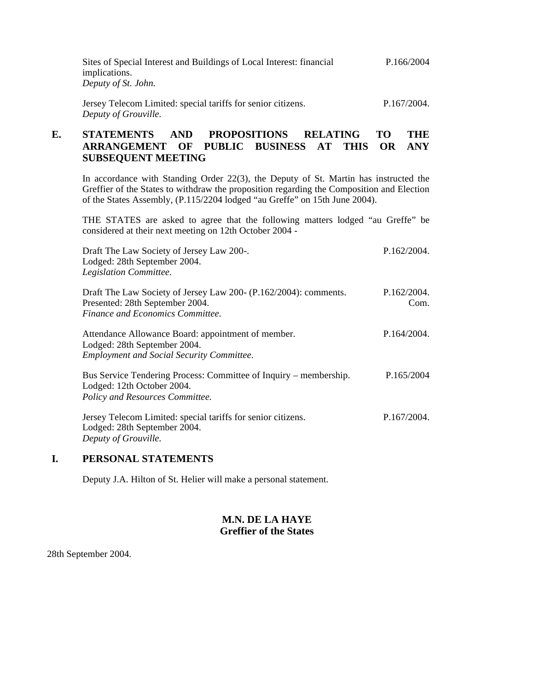| Sites of Special Interest and Buildings of Local Interest: financial | P.166/2004  |
|----------------------------------------------------------------------|-------------|
| implications.                                                        |             |
| Deputy of St. John.                                                  |             |
| Jersey Telecom Limited: special tariffs for senior citizens.         | P.167/2004. |
| Deputy of Grouville.                                                 |             |

### **E. STATEMENTS AND PROPOSITIONS RELATING TO THE ARRANGEMENT OF PUBLIC BUSINESS AT THIS OR ANY SUBSEQUENT MEETING**

In accordance with Standing Order 22(3), the Deputy of St. Martin has instructed the Greffier of the States to withdraw the proposition regarding the Composition and Election of the States Assembly, (P.115/2204 lodged "au Greffe" on 15th June 2004).

THE STATES are asked to agree that the following matters lodged "au Greffe" be considered at their next meeting on 12th October 2004 -

| Draft The Law Society of Jersey Law 200-.<br>Lodged: 28th September 2004.<br>Legislation Committee.                                     | P.162/2004.         |
|-----------------------------------------------------------------------------------------------------------------------------------------|---------------------|
| Draft The Law Society of Jersey Law 200- (P.162/2004): comments.<br>Presented: 28th September 2004.<br>Finance and Economics Committee. | P.162/2004.<br>Com. |
| Attendance Allowance Board: appointment of member.<br>Lodged: 28th September 2004.<br><b>Employment and Social Security Committee.</b>  | P.164/2004.         |
| Bus Service Tendering Process: Committee of Inquiry – membership.<br>Lodged: 12th October 2004.<br>Policy and Resources Committee.      | P.165/2004          |
| Jersey Telecom Limited: special tariffs for senior citizens.<br>Lodged: 28th September 2004.<br>Deputy of Grouville.                    | P.167/2004.         |

## **I. PERSONAL STATEMENTS**

Deputy J.A. Hilton of St. Helier will make a personal statement.

### **M.N. DE LA HAYE Greffier of the States**

28th September 2004.